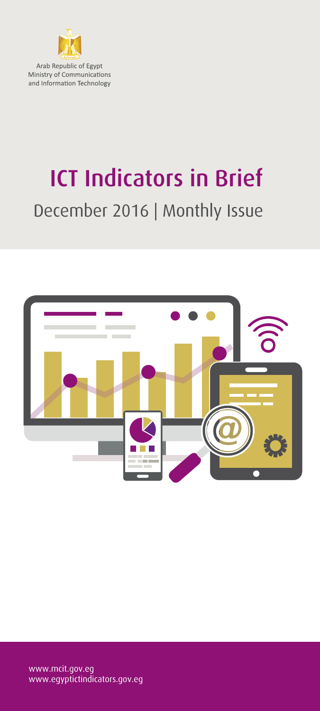

Arab Republic of Egypt Ministry of Communications and Information Technology

# ICT Indicators in Brief December 2016 | Monthly Issue

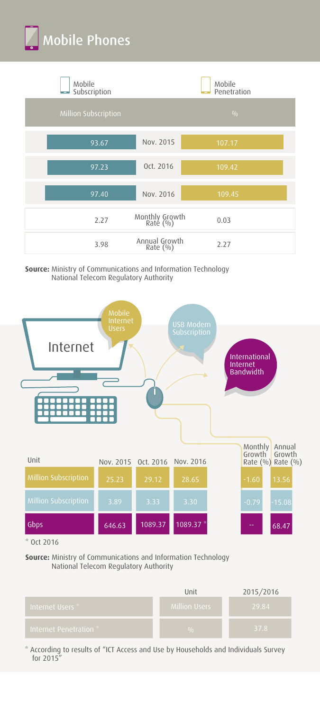



**Source:** Ministry of Communications and Information Technology National Telecom Regulatory Authority



**Source:** Ministry of Communications and Information Technology National Telecom Regulatory Authority

|                        | Unit                 | 2015/2016 |
|------------------------|----------------------|-----------|
| Internet Users * '     | <b>Million Users</b> | 29.84     |
| Internet Penetration * | 0/0                  | 37.8      |

\* According to results of "ICT Access and Use by Households and Individuals Survey for 2015"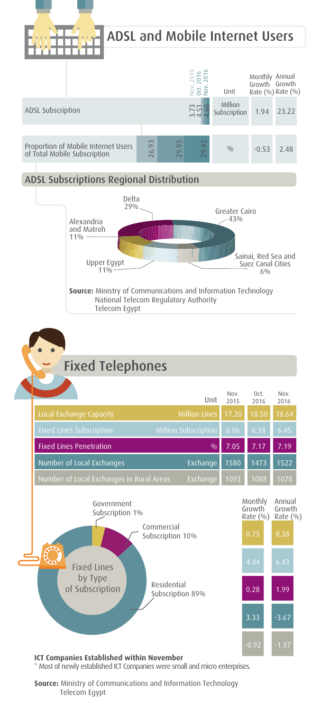



#### **Source:** Ministry of Communications and Information Technology Telecom Egypt

\* Most of newly established ICT Companies were small and micro enterprises.

 $-0.92$   $-1.37$ 

**ICT Companies Established within November**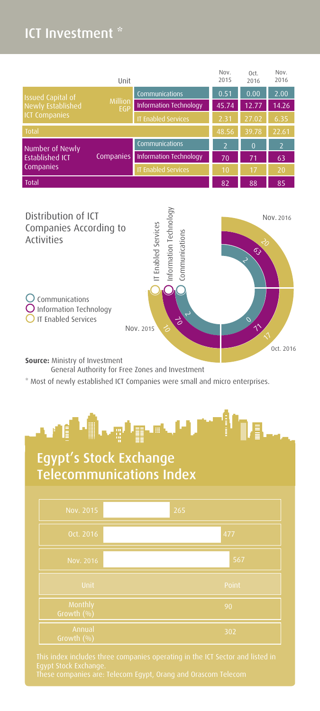### ICT Investment \*

|                                                                                         | Unit                       |                          | Nov.<br>2015   | Oct.<br>2016   | Nov.<br>2016 |
|-----------------------------------------------------------------------------------------|----------------------------|--------------------------|----------------|----------------|--------------|
| <b>Issued Capital of</b><br>Million<br>Newly Established<br>EGP<br><b>ICT Companies</b> | Communications             | 0.51                     | 0.00           | 2.00           |              |
|                                                                                         | Information Technology     | 45.74                    | 12.77          | 14.26          |              |
|                                                                                         | <b>IT Enabled Services</b> | 2.31                     | 27.02          | 6.35           |              |
| Total                                                                                   |                            |                          | 48.56          | 39.78          | 22.61        |
| Number of Newly<br>Companies<br><b>Established ICT</b><br>Companies                     | Communications             | $\overline{\phantom{0}}$ | $\overline{0}$ | $\overline{z}$ |              |
|                                                                                         | Information Technology     | 70                       | 71             | 63             |              |
|                                                                                         | <b>IT Enabled Services</b> | 10                       | 17             | 20             |              |
| <b>Total</b>                                                                            |                            |                          | 82             | 88             | 85           |
|                                                                                         |                            |                          |                |                |              |



**Source:** Ministry of Investment

General Authority for Free Zones and Investment

\* Most of newly established ICT Companies were small and micro enterprises.



## Egypt's Stock Exchange Telecommunications Index

| Nov. 2015             | 265   |
|-----------------------|-------|
| Oct. 2016             | 477   |
| Nov. 2016             | 567   |
| Unit                  | Point |
| Monthly<br>Growth (%) | 90    |
| Annual<br>Growth (%)  | 302   |

This index includes three companies operating in the ICT Sector and listed in<br>Egypt Stock Exchange.<br>These companies are: Telecom Egypt, Orang and Orascom Telecom